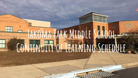# **Takoma Park Middle School Continuity of Learning Schedule**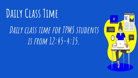# **Daily Class Time**

# DAILY CLASS TIME FOR TPMS STUDENTS **is from 12:45-4:15.**

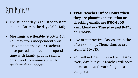# **Key Points**

- The student day is adjusted to start and end later in the day (9:00-4:15).
- **Mornings are flexible** (9:00-12:45). You may work independently on assignments that your teachers have posted, help at home, spend time with family, practice skills, email, and communicate with teachers for support.
- **TPMS Teacher Office Hours when they are planning instruction or checking emails are 9:00-11:00 a.m., Monday - Thursday and 9-4:15 on Fridays.**
- Live or interactive classes are in the afternoon only. **These classes are from 12:45-4:15.**
- You will not have interactive classes every day, but your teacher will post information and work for you to complete.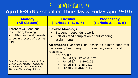### **School Week Calendar April 6-8** (No school on Thursday & Friday April 9-10)

| <b>Monday</b><br>(All Classes)                                                                                                                     | <b>Tuesday</b><br>(Periods 1, 3, 5, 7)                                                                                                          | <b>Wednesday</b><br>(Periods 2, 4, 6, 8) |  |  |  |
|----------------------------------------------------------------------------------------------------------------------------------------------------|-------------------------------------------------------------------------------------------------------------------------------------------------|------------------------------------------|--|--|--|
| Teachers will send out<br>instruction, learning<br>activities, and assignments<br>to begin process of closing<br>MP3.                              | <b>Flexible Mornings</b><br>Student independent work<br>Self-directed completion of outstanding<br>$\bullet$<br>assignments                     |                                          |  |  |  |
|                                                                                                                                                    | <b>Afternoon:</b> Live check-ins, possible Q3 instruction that<br>has already been taught or presented, review, and<br>reassess.                |                                          |  |  |  |
|                                                                                                                                                    | <b>SCHEDULE</b>                                                                                                                                 |                                          |  |  |  |
| <i>*Meal service for students from</i><br>11:00-1:00 Monday-Friday at<br><b>Blair High School and Rolling</b><br><b>Terrace Elementary School.</b> | Period 1/2: 12:45-1:30*<br>$\circ$<br>Period 3/ 4: 1:40-2:25<br>$\circ$<br>Period 5/6: 2:35-3:20<br>$\circ$<br>Period 7 8: 3:30-4:15<br>$\circ$ |                                          |  |  |  |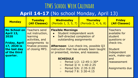### **TPMS School Week Calendar**

#### **April 14-17** (No school Monday, April 13)

| <b>Monday</b>                                                                                                               | <b>Tuesday</b><br>(All Classes)                                                                                                  | <b>Wednesday</b>                                                                                                                                                                                                                                                             | <b>Thursday</b><br>(Periods 1, 3, 5, 7) (Periods 2, 4, 6, 8)                                        | <b>Friday</b><br>(All Classes)                                                                                               |
|-----------------------------------------------------------------------------------------------------------------------------|----------------------------------------------------------------------------------------------------------------------------------|------------------------------------------------------------------------------------------------------------------------------------------------------------------------------------------------------------------------------------------------------------------------------|-----------------------------------------------------------------------------------------------------|------------------------------------------------------------------------------------------------------------------------------|
| <b>No School on</b><br>April 13,<br>2020<br><b>Friday, April</b><br>17, 2020 is<br>the last day<br>of the third<br>quarter. | Teachers send<br>out instruction,<br><b>learning</b><br>activities, and<br>assignments to<br>finalize process<br>of closing MP3. | <b>Flexible Mornings</b><br>Student independent work<br>$\bullet$<br>Self-directed completion of<br>$\bullet$<br>outstanding assignments<br><b>Afternoon:</b> Live check-ins, possible Q3<br>instruction that has already been taught<br>or presented, review, and reassess. |                                                                                                     | <b>Teachers</b><br>available for<br>student<br>questions or<br>check-ins.<br><b>Student</b><br>Independent<br>work, make-ups |
|                                                                                                                             |                                                                                                                                  | <b>SCHEDULE</b><br>$\circ$<br>$\circ$<br>$\circ$<br>$\circ$                                                                                                                                                                                                                  | Period 1/2: 12:45-1:30*<br>Period 3/ 4: 1:40-2:25<br>Period 5/6: 2:35-3:20<br>Period 7 8: 3:30-4:15 | and<br>reassessment<br><b>Assignments due</b>                                                                                |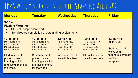# TPMS Weekly Student Schedule (Starting April 20)

| <b>Monday</b>                                                                                                                                                                                    | <b>Tuesday</b>                                                                                                                                                                                   | <b>Wednesday</b>                                                                                                                      | <b>Thursday</b>                                                                                                                       | <b>Friday</b>                                                                                                       |  |  |  |
|--------------------------------------------------------------------------------------------------------------------------------------------------------------------------------------------------|--------------------------------------------------------------------------------------------------------------------------------------------------------------------------------------------------|---------------------------------------------------------------------------------------------------------------------------------------|---------------------------------------------------------------------------------------------------------------------------------------|---------------------------------------------------------------------------------------------------------------------|--|--|--|
| $9 - 12:45$<br><b>Flexible Mornings</b><br>Student independent work<br>Self-directed completion of outstanding assignments<br>$\bullet$                                                          |                                                                                                                                                                                                  |                                                                                                                                       |                                                                                                                                       |                                                                                                                     |  |  |  |
| 12:45-4:15<br>Pd 1: 12:45-1:30<br>Pd. 3: 1:40-2:25<br>Pd. 5: 2:35-3:20<br>Pd. 7: 3:30-4:15<br><b>Students check</b><br>posted online<br>learning activities,<br>and assignments for<br>the week. | 12:45-4:15<br>Pd. 2: 12:45-1:30<br>Pd. 4: 1:40-2:25<br>Pd. 6: 2:35-3:20<br>Pd 8: 3:30-4:15<br><b>Students check</b><br>posted online<br>learning activities,<br>and assignments<br>for the week. | 12:45-4:15<br>Pd 1: 12:45-1:30<br>Pd. 3: 1:40-2:25<br>Pd. 5: 2:35-3:20<br>Pd. 7: 3:30-4:15<br>Interactive check<br>ins with teachers. | 12:45-4:15<br>Pd. 2: 12:45-1:30<br>Pd. 4: 1:40-2:25<br>Pd. 6: 2:35-3:20<br>Pd 8: 3:30-4:15<br>Interactive check<br>ins with teachers. | 12:45-4:15<br><b>All Periods</b><br>Students turn in<br>work, email<br>teachers, complete<br>week's<br>assignments. |  |  |  |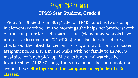### **Sample TPMS Student TPMS Star Student, Grade 8**

*TPMS Star Student* is an 8th grader at TPMS. She has two siblings in elementary school. In the mornings she helps her brothers work on the computer for their math lessons (elementary schools have interactive lessons from 8:45-11:05). She also does her chores, checks out the latest dances on Tik Tok, and works on two posted assignments. At 11:15 a.m. she walks with her family to an MCPS meal site for lunch pick-up. She eats lunch and watches her favorite show. At 12:30 she gathers up a pencil, her notebook, and agenda book. **She logs on to the computer to begin her 12:45 classes.**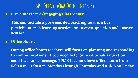### **Ms. Deeny, What Do You Mean By…….**

● **Live/Interactive/Engaging Classrooms:**

**This can include a pre-recorded teaching lesson, a live participant-rich learning session, or an open-question and answer session.**

#### **● Office Hours:**

**During office hours teachers will focus on planning and responding to communications. If you need help, or need to ask a question, send teachers a message. TPMS teachers have office hours from 9:00 a.m.-11:00 a.m. Monday through Thursday and 9-4:15 on Friday.**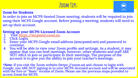# **Zoom Tips:**

#### **Zoom for Students**

zoom

In order to join an MCPS-hosted Zoom meeting, students will be required to join using their MCPS Google account. Before joining a meeting, students will need to set up their account.

#### **Setting up your MCPS-Licensed Zoom Account**

- 1. Visit [https://mcpsmd.zoom.us.](https://mcpsmd.zoom.us)<br>2. Click Login.
- 2. Click Login.<br>3. Enter vour M
- Enter your MCPS Google email address (@mcpsmd.net) and password to continue.
- 4. You will be able to view your Zoom profile and settings. As a student, it may appear that you can host meetings, however, other students and staff ARE NOT ABLE to join or participate in their meetings. The purpose of the account is to give you the ability to join your teacher's meetings.

\***Note:** If you visit the Zoom website (https://zoom.us) and choose to login with Google, you ARE NOT signing in to your MCPS-licensed account and will be associated with the free or "Basic" version of Zoom. Please use the previous steps provided to access Zoom for MCPS.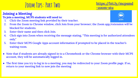## **Zoom Tips: Part Two**



#### **Joining a Meeting**

#### **To join a meeting, MCPS students will need to:**

- 1. Click the Zoom meeting link provided by their teacher.
- 2. From the Zoom to Chrome window, click Join from your browser; the Zoom app/extension will be blocked for students.
- 3. Enter their name and then click Join.
- 4. Click sign into Zoom when receiving the message stating, "This meeting is for authorized attendees only."
- 5. Enter their MCPS Google Apps account information if prompted to be placed in the teacher's waiting room.
- Note that if students are already signed in to a Chromebook or the Chrome browser with their MCPS account, they will be automatically logged in.
- The first time you try to log in to a meeting, you may be redirected to your Zoom profile page. If so, return to your meeting link to now join the meeting

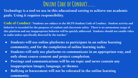## **Online Code of Conduct…….**

**Technology is a tool we use in this educational setting to achieve our academic goals. Using it requires responsibility.** 

**Code of Conduct: "Students are subject to the MCPS Student Code of Conduct. Student activity and behavior is recorded for the purposes of student and classroom safety. There is no anonymous usage of this platform and any inappropriate behavior will be quickly addressed. Students should not enable video or audio unless specifically directed by the teacher."** 

- **● Students will use online platforms to participate in an online learning community, and for the completion of online learning tasks.**
- **● Students will only use platforms to communicate in an appropriate way, and only about course content and project completion.**
- **● Postings and communications will be on-topic and never contain any inappropriate images, language, or themes.**
- **● Bullying or harassment will not be tolerated in the online learning community.**